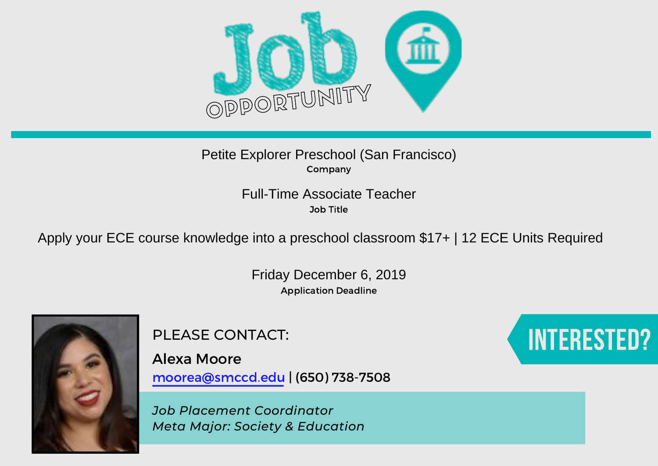

### Company Petite Explorer Preschool (San Francisco)

Job Title

Full-Time Associate Teacher<br><sup>Job Title</sup><br>Apply your ECE course knowledge into a preschool classroom \$17+ | 12 ECE Units Required

Application Deadline Friday December 6, 2019



PLEASE CONTACT:

Alexa Moore moorea@smccd.edu | (650) 738-7508

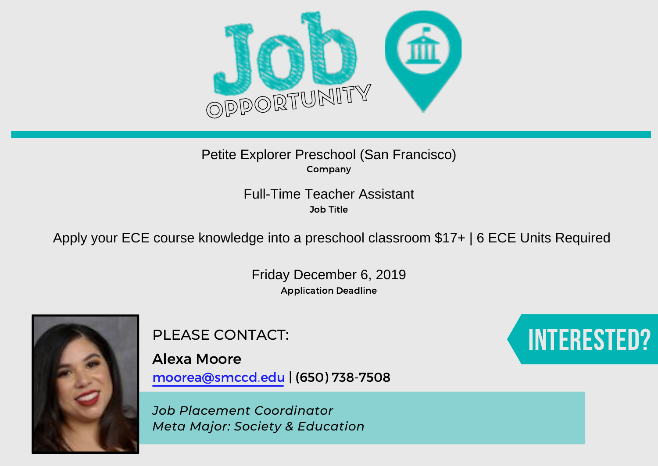

### Company Petite Explorer Preschool (San Francisco)

Job Title

Full-Time Teacher Assistant<br>
<sup>Job Title</sup><br>Apply your ECE course knowledge into a preschool classroom \$17+ | 6 ECE Units Required

Application Deadline Friday December 6, 2019



PLEASE CONTACT:

Alexa Moore moorea@smccd.edu | (650) 738-7508

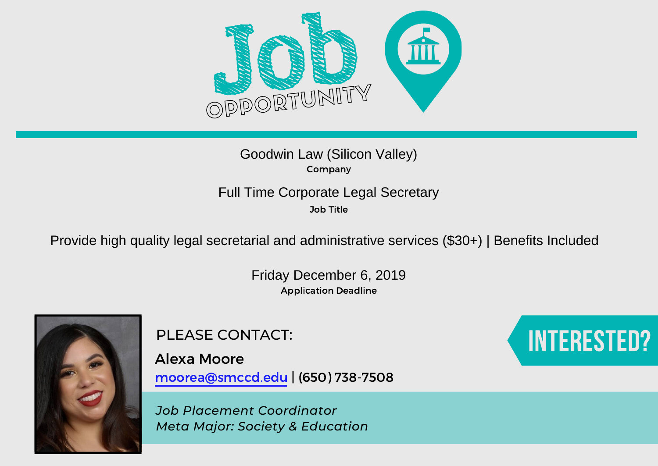

# Company Goodwin Law (Silicon Valley)

Job Title

Full Time Corporate Legal Secretary<br>
<sup>Job Title</sup><br>Provide high quality legal secretarial and administrative services (\$30+) | Benefits Included

Application Deadline Friday December 6, 2019



Alexa Moore moorea@smccd.edu | (650) 738-7508

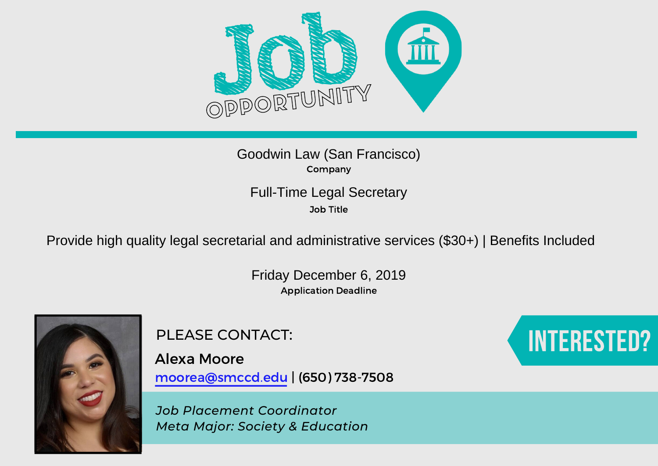

Company Goodwin Law (San Francisco)

Job Title

Full-Time Legal Secretary<br><sup>Job Title</sup><br>Provide high quality legal secretarial and administrative services (\$30+) | Benefits Included

Application Deadline Friday December 6, 2019



Alexa Moore moorea@smccd.edu | (650) 738-7508

*Job Placement Coordinator Meta Major: Society & Education*

# PLEASE CONTACT: **Interested and Security Contact**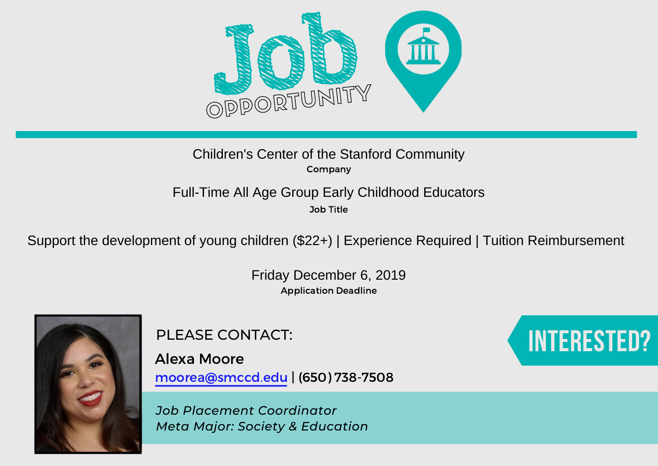

# Company Children's Center of the Stanford Community

# Full-Time All Age Group Early Childhood Educators

Job Title

Support the development of young children (\$22+) | Experience Required | Tuition Reimbursement

Application Deadline Friday December 6, 2019



Alexa Moore moorea@smccd.edu | (650) 738-7508

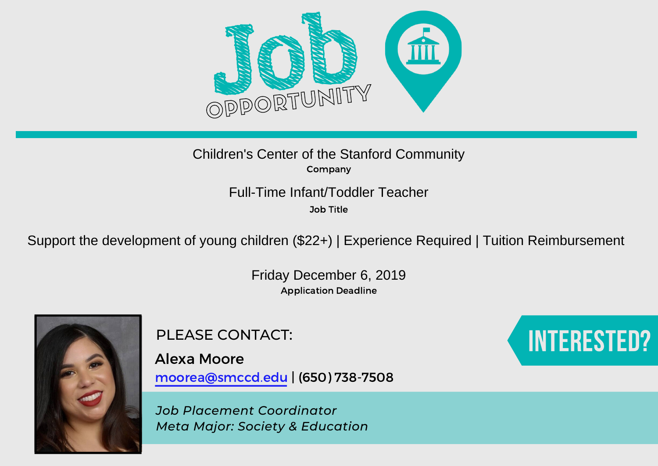

Company Children's Center of the Stanford Community

Full-Time Infant/Toddler Teacher

Job Title

Support the development of young children (\$22+) | Experience Required | Tuition Reimbursement

Application Deadline Friday December 6, 2019



Alexa Moore moorea@smccd.edu | (650) 738-7508

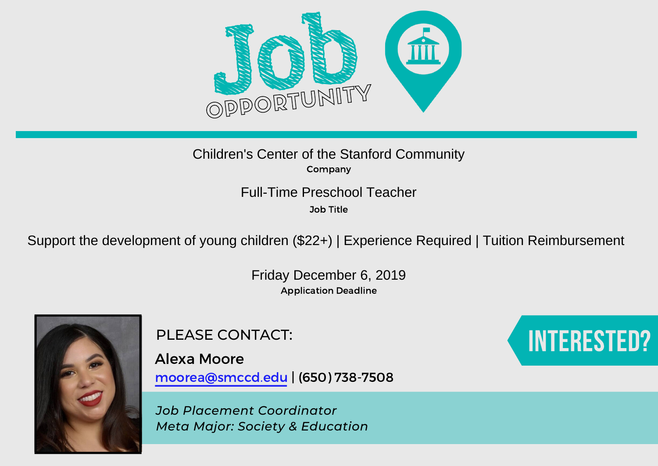

Company Children's Center of the Stanford Community

Full-Time Preschool Teacher

Job Title

Support the development of young children (\$22+) | Experience Required | Tuition Reimbursement

Application Deadline Friday December 6, 2019



Alexa Moore moorea@smccd.edu | (650) 738-7508

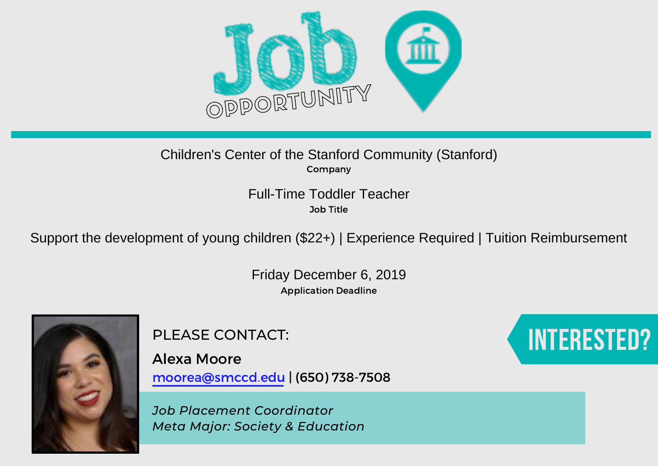

### Company Children's Center of the Stanford Community (Stanford)

Job Title Full-Time Toddler Teacher

Support the development of young children (\$22+) | Experience Required | Tuition Reimbursement

Application Deadline Friday December 6, 2019



PLEASE CONTACT:

Alexa Moore moorea@smccd.edu | (650) 738-7508